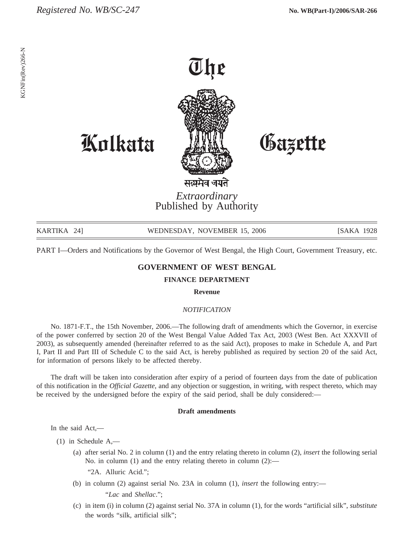

*Extraordinary* Published by Authority

| KARTIKA 241 | WEDNESDAY, NOVEMBER 15, 2006 | [SAKA 1928] |
|-------------|------------------------------|-------------|
|             |                              |             |

PART I—Orders and Notifications by the Governor of West Bengal, the High Court, Government Treasury, etc.

## **GOVERNMENT OF WEST BENGAL**

## **FINANCE DEPARTMENT**

**Revenue**

## *NOTIFICATION*

No. 1871-F.T., the 15th November, 2006.—The following draft of amendments which the Governor, in exercise of the power conferred by section 20 of the West Bengal Value Added Tax Act, 2003 (West Ben. Act XXXVII of 2003), as subsequently amended (hereinafter referred to as the said Act), proposes to make in Schedule A, and Part I, Part II and Part III of Schedule C to the said Act, is hereby published as required by section 20 of the said Act, for information of persons likely to be affected thereby.

The draft will be taken into consideration after expiry of a period of fourteen days from the date of publication of this notification in the *Official Gazette,* and any objection or suggestion, in writing, with respect thereto, which may be received by the undersigned before the expiry of the said period, shall be duly considered:—

## **Draft amendments**

In the said Act,—

- (1) in Schedule A,—
	- (a) after serial No. 2 in column (1) and the entry relating thereto in column (2), *insert* the following serial No. in column (1) and the entry relating thereto in column (2):—

"2A. Alluric Acid.";

(b) in column (2) against serial No. 23A in column (1), *insert* the following entry:—

"*Lac* and *Shellac*.";

(c) in item (i) in column (2) against serial No. 37A in column (1), for the words "artificial silk", *substitute* the words "silk, artificial silk";